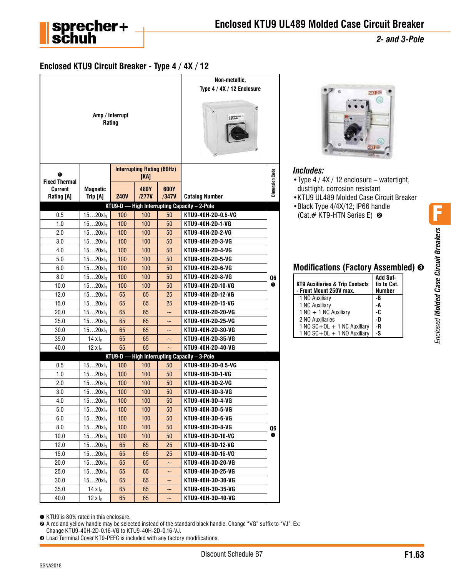

*2- and 3-Pole*

## **Enclosed KTU9 Circuit Breaker - Type 4 / 4X / 12**

|                              |                             | Amp / Interrupt<br>Rating                                  |                                           |                           | Non-metallic,<br>Type 4 / 4X / 12 Enclosure<br>$^{\circledR}$<br><b>Expression</b> |                       |
|------------------------------|-----------------------------|------------------------------------------------------------|-------------------------------------------|---------------------------|------------------------------------------------------------------------------------|-----------------------|
| ➊<br><b>Fixed Thermal</b>    |                             |                                                            | <b>Interrupting Rating (60Hz)</b><br>[KA] |                           |                                                                                    | <b>Dimension Code</b> |
| <b>Current</b><br>Rating [A] | <b>Magnetic</b><br>Trip [A] | <b>240V</b>                                                | 480Y<br>/277V                             | 600Y<br>/347V             | <b>Catalog Number</b>                                                              |                       |
|                              |                             | <b>KTU9-D-</b>                                             |                                           |                           | High Interrupting Capacity - 2-Pole                                                |                       |
| 0.5                          | $1520xI_n$                  | 100                                                        | 100                                       | 50                        | KTU9-40H-2D-0.5-VG                                                                 |                       |
| 1.0                          | 1520x <sub>n</sub>          | 100                                                        | 100                                       | 50                        | KTU9-40H-2D-1-VG                                                                   |                       |
| 2.0                          | $1520xI_n$                  | 100                                                        | 100                                       | 50                        | KTU9-40H-2D-2-VG                                                                   |                       |
| 3.0                          | $1520xI_n$                  | 100                                                        | 100                                       | 50                        | KTU9-40H-2D-3-VG                                                                   |                       |
| 4.0                          | $1520xI_n$                  | 100                                                        | 100                                       | 50                        | KTU9-40H-2D-4-VG                                                                   |                       |
| 5.0                          | $1520xI_n$                  | 100                                                        | 100                                       | 50                        | KTU9-40H-2D-5-VG                                                                   |                       |
| 6.0                          | $1520xI_n$                  | 100                                                        | 100                                       | 50                        | KTU9-40H-2D-6-VG                                                                   |                       |
| 8.0                          | $1520xI_n$                  | 100                                                        | 100                                       | 50                        | KTU9-40H-2D-8-VG                                                                   | Q6                    |
| 10.0                         | $1520xI_n$                  | 100                                                        | 100                                       | 50                        | KTU9-40H-2D-10-VG                                                                  | O                     |
| 12.0                         | $1520xI_n$                  | 65                                                         | 65                                        | 25                        | KTU9-40H-2D-12-VG                                                                  |                       |
| 15.0                         | $1520xI_n$                  | 65                                                         | 65                                        | 25                        | KTU9-40H-2D-15-VG                                                                  |                       |
| 20.0                         | $1520xI_n$                  | 65                                                         | 65                                        | $\tilde{\phantom{0}}$     | KTU9-40H-2D-20-VG                                                                  |                       |
| 25.0                         | $1520xI_n$                  | 65                                                         | 65                                        | $\widetilde{\phantom{m}}$ | KTU9-40H-2D-25-VG                                                                  |                       |
| 30.0                         | $1520xI_n$                  | 65<br>65<br>KTU9-40H-2D-30-VG<br>$\widetilde{\phantom{m}}$ |                                           |                           |                                                                                    |                       |
| 35.0                         | $14 \times I_n$             | 65                                                         | 65                                        | $\tilde{}$                | KTU9-40H-2D-35-VG                                                                  |                       |
| 40.0                         | $12 \times I_n$             | 65                                                         | 65                                        |                           | KTU9-40H-2D-40-VG                                                                  |                       |
|                              |                             | KTU9-D                                                     |                                           |                           | High Interrupting Capacity - 3-Pole                                                |                       |
| 0.5                          | 1520x <sub>n</sub>          | 100                                                        | 100                                       | 50                        | KTU9-40H-3D-0.5-VG                                                                 |                       |
| 1.0                          | $1520xI_n$                  | 100                                                        | 100                                       | 50                        | KTU9-40H-3D-1-VG                                                                   |                       |
| 2.0                          | $1520xI_n$                  | 100                                                        | 100                                       | 50                        | KTU9-40H-3D-2-VG                                                                   |                       |
| 3.0                          | $1520xI_n$                  | 100                                                        | 100                                       | 50                        | KTU9-40H-3D-3-VG                                                                   |                       |
| 4.0                          | $1520xI_n$                  | 100                                                        | 100                                       | 50                        | KTU9-40H-3D-4-VG                                                                   |                       |
| 5.0                          | $1520xI_n$                  | 100                                                        | 100                                       | 50                        | KTU9-40H-3D-5-VG                                                                   |                       |
| 6.0                          | $1520xI_n$                  | 100                                                        | 100                                       | 50                        | KTU9-40H-3D-6-VG                                                                   |                       |
| 8.0                          | $1520xI_n$                  | 100                                                        | 100                                       | 50                        | KTU9-40H-3D-8-VG                                                                   | Q6                    |
| 10.0                         | $1520xI_n$                  | 100                                                        | 100                                       | 50                        | KTU9-40H-3D-10-VG                                                                  | ➊                     |
| 12.0                         | $1520xI_n$                  | 65                                                         | 65                                        | 25                        | KTU9-40H-3D-12-VG                                                                  |                       |
| 15.0                         | 1520x <sub>n</sub>          | 65                                                         | 65                                        | 25                        | KTU9-40H-3D-15-VG                                                                  |                       |
| 20.0                         | $1520xI_n$                  | 65                                                         | 65                                        | $\tilde{}$                | KTU9-40H-3D-20-VG                                                                  |                       |
| 25.0                         | $1520xI_n$                  | 65                                                         | 65                                        | $\tilde{}$                | KTU9-40H-3D-25-VG                                                                  |                       |
| 30.0                         | $1520xI_n$                  | 65                                                         | 65                                        | $\tilde{}$                | KTU9-40H-3D-30-VG                                                                  |                       |
| 35.0                         | 14 x $I_n$                  | 65                                                         | 65                                        | $\tilde{}$                | KTU9-40H-3D-35-VG                                                                  |                       |
| 40.0                         | $12 \times I_n$             | 65                                                         | 65                                        | $\tilde{}$                | KTU9-40H-3D-40-VG                                                                  |                       |



#### *Includes:*

- •Type 4 / 4X / 12 enclosure watertight, dusttight, corrosion resistant
- •KTU9 UL489 Molded Case Circuit Breaker
- •Black Type 4/4X/12; IP66 handle (Cat.# KT9-HTN Series E) ➋

## **Modifications (Factory Assembled)** ➌

| <b>KT9 Auxiliaries &amp; Trip Contacts</b><br>- Front Mount 250V max. | Add Suf-<br>fix to Cat.<br><b>Number</b> |
|-----------------------------------------------------------------------|------------------------------------------|
| 1 NO Auxiliary                                                        | -B                                       |
| 1 NC Auxiliary                                                        | -A                                       |
| $1 NQ + 1 NC$ Auxiliary                                               | -C                                       |
| 2 NO Auxiliaries                                                      | -D                                       |
| $1 \text{ NO } SC + OL + 1 \text{ NC}$ Auxiliary                      | -R                                       |
| 1 NO $SC+OL + 1$ NO Auxiliary                                         | -S                                       |

➊ KTU9 is 80% rated in this enclosure.

➋ A red and yellow handle may be selected instead of the standard black handle. Change "VG" suffix to "VJ". Ex: Change KTU9-40H-2D-0.16-VG to KTU9-40H-2D-0.16-VJ.

➌ Load Terminal Cover KT9-PEFC is included with any factory modifications.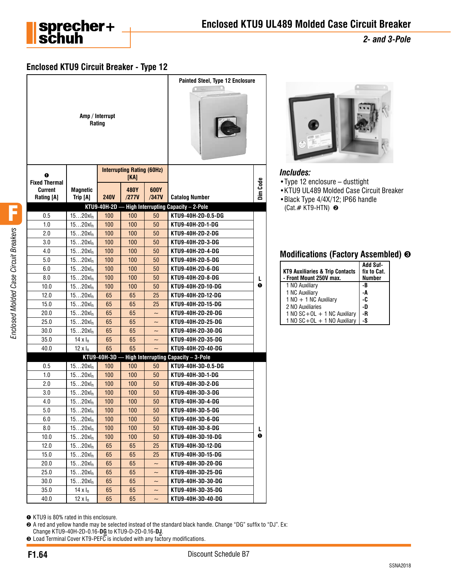

*2- and 3-Pole*

# **Enclosed KTU9 Circuit Breaker - Type 12**

|                              |                             | Amp / Interrupt<br>Rating |                                           |                           | <b>Painted Steel, Type 12 Enclosure</b> |          |
|------------------------------|-----------------------------|---------------------------|-------------------------------------------|---------------------------|-----------------------------------------|----------|
| 0<br><b>Fixed Thermal</b>    |                             |                           | <b>Interrupting Rating (60Hz)</b><br>[KA] |                           |                                         |          |
| <b>Current</b><br>Rating [A] | <b>Magnetic</b><br>Trip [A] | <b>240V</b>               | 480Y<br>/277V                             | 600Y<br>/347V             | <b>Catalog Number</b>                   | Dim Code |
|                              |                             | KTU9-40H-2D               |                                           |                           | High Interrupting Capacity - 2-Pole     |          |
| 0.5                          | $1520xI_n$                  | 100                       | 100                                       | 50                        | KTU9-40H-2D-0.5-DG                      |          |
| 1.0                          | $1520xI_n$                  | 100                       | 100                                       | 50                        | KTU9-40H-2D-1-DG                        |          |
| 2.0                          | $1520xI_n$                  | 100                       | 100                                       | 50                        | KTU9-40H-2D-2-DG                        |          |
| 3.0                          | $1520xI_n$                  | 100                       | 100                                       | 50                        | KTU9-40H-2D-3-DG                        |          |
| 4.0                          | $1520xI_n$                  | 100                       | 100                                       | 50                        | KTU9-40H-2D-4-DG                        |          |
| 5.0                          | $1520xI_n$                  | 100                       | 100                                       | 50                        | KTU9-40H-2D-5-DG                        |          |
| 6.0                          | $1520xI_n$                  | 100                       | 100                                       | 50                        | KTU9-40H-2D-6-DG                        |          |
| 8.0                          | $1520xI_n$                  | 100                       | 100                                       | 50                        | KTU9-40H-2D-8-DG                        | L        |
| 10.0                         | $1520xI_n$                  | 100                       | 100                                       | 50                        | KTU9-40H-2D-10-DG                       | 0        |
| 12.0                         | $1520xI_n$                  | 65                        | 65                                        | 25                        | KTU9-40H-2D-12-DG                       |          |
| 15.0                         | $1520xI_n$                  | 65                        | 65                                        | 25                        | KTU9-40H-2D-15-DG                       |          |
| 20.0                         | $1520xI_n$                  | 65                        | 65                                        | $\sim$                    | KTU9-40H-2D-20-DG                       |          |
| 25.0                         | $1520xI_n$                  | 65                        | 65                                        | $\tilde{\phantom{0}}$     | KTU9-40H-2D-25-DG                       |          |
| 30.0                         | $1520xI_n$                  | 65                        | 65                                        | $\tilde{\phantom{0}}$     | KTU9-40H-2D-30-DG                       |          |
| 35.0                         | $14 \times I_n$             | 65                        | 65                                        | $\tilde{\phantom{0}}$     | KTU9-40H-2D-35-DG                       |          |
| 40.0                         | $12 \times I_n$             | 65                        | 65                                        |                           | KTU9-40H-2D-40-DG                       |          |
|                              |                             | KTU9-40H-3D               |                                           |                           | High Interrupting Capacity - 3-Pole     |          |
| 0.5                          | $1520xI_n$                  | 100                       | 100                                       | 50                        | KTU9-40H-3D-0.5-DG                      |          |
| 1.0                          | $1520xI_n$                  | 100                       | 100                                       | 50                        | KTU9-40H-3D-1-DG                        |          |
| 2.0                          | $1520xI_n$                  | 100                       | 100                                       | 50                        | KTU9-40H-3D-2-DG                        |          |
| 3.0                          | $1520xI_n$                  | 100                       | 100                                       | 50                        | KTU9-40H-3D-3-DG                        |          |
| 4.0                          | $1520xI_n$                  | 100                       | 100                                       | 50                        | KTU9-40H-3D-4-DG                        |          |
| 5.0                          | $1520xI_n$                  | 100                       | 100                                       | 50                        | KTU9-40H-3D-5-DG                        |          |
| 6.0                          | $1520xI_n$                  | 100                       | 100                                       | 50                        | KTU9-40H-3D-6-DG                        |          |
| 8.0                          | $1520xI_n$                  | 100                       | 100 <sub>1</sub>                          | 50                        | KTU9-40H-3D-8-DG                        | L.       |
| 10.0                         | $1520xI_n$                  | 100                       | 100 <sub>1</sub>                          | 50                        | KTU9-40H-3D-10-DG                       | 0        |
| 12.0                         | $1520xI_n$                  | 65                        | 65                                        | 25                        | KTU9-40H-3D-12-DG                       |          |
| 15.0                         | $1520xI_n$                  | 65                        | 65                                        | 25                        | KTU9-40H-3D-15-DG                       |          |
| 20.0                         | $1520xI_n$                  | 65                        | 65                                        | $\tilde{}$                | KTU9-40H-3D-20-DG                       |          |
| 25.0                         | $1520xI_n$                  | 65                        | 65                                        | $\tilde{\phantom{a}}$     | KTU9-40H-3D-25-DG                       |          |
| 30.0                         | $1520xI_n$                  | 65                        | 65                                        | $\widetilde{\phantom{m}}$ | KTU9-40H-3D-30-DG                       |          |
| 35.0                         | 14 x I <sub>n</sub>         | 65                        | 65                                        | $\widetilde{\phantom{m}}$ | KTU9-40H-3D-35-DG                       |          |
| 40.0                         | $12 \times I_n$             | 65                        | 65                                        | $\tilde{}$                | KTU9-40H-3D-40-DG                       |          |
|                              |                             |                           |                                           |                           |                                         |          |



#### *Includes:*

- •Type 12 enclosure dusttight
- •KTU9 UL489 Molded Case Circuit Breaker
- •Black Type 4/4X/12; IP66 handle  $(Cat. # KTS-HTN)$  <sup> $\odot$ </sup>

### **Modifications (Factory Assembled)** ➌

| <b>KT9 Auxiliaries &amp; Trip Contacts</b><br>- Front Mount 250V max. | Add Suf-<br>fix to Cat.<br><b>Number</b> |
|-----------------------------------------------------------------------|------------------------------------------|
| 1 NO Auxiliary                                                        | -B                                       |
| 1 NC Auxiliary                                                        | -A                                       |
| 1 NO + 1 NC Auxiliary                                                 | -C                                       |
| 2 NO Auxiliaries                                                      | -D                                       |
| 1 NO $SC + OL + 1$ NC Auxiliary                                       | -R                                       |
| 1 NO $SC+OL + 1$ NO Auxiliary                                         | -S                                       |

➊ KTU9 is 80% rated in this enclosure.

➋ A red and yellow handle may be selected instead of the standard black handle. Change "DG" suffix to "DJ". Ex: Change KTU9-40H-2D-0.16-**DG** to KTU9-D-2D-0.16-**DJ**.

➌ Load Terminal Cover KT9-PEFC is included with any factory modifications.